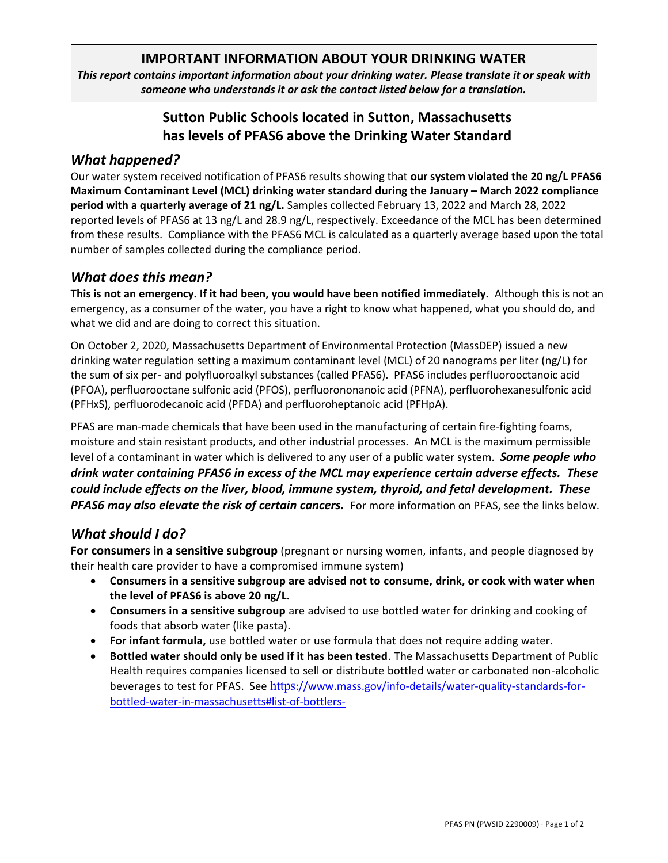## **IMPORTANT INFORMATION ABOUT YOUR DRINKING WATER**

*This report contains important information about your drinking water. Please translate it or speak with someone who understands it or ask the contact listed below for a translation.*

# **Sutton Public Schools located in Sutton, Massachusetts has levels of PFAS6 above the Drinking Water Standard**

## *What happened?*

Our water system received notification of PFAS6 results showing that **our system violated the 20 ng/L PFAS6 Maximum Contaminant Level (MCL) drinking water standard during the January – March 2022 compliance period with a quarterly average of 21 ng/L.** Samples collected February 13, 2022 and March 28, 2022 reported levels of PFAS6 at 13 ng/L and 28.9 ng/L, respectively. Exceedance of the MCL has been determined from these results. Compliance with the PFAS6 MCL is calculated as a quarterly average based upon the total number of samples collected during the compliance period.

## *What does this mean?*

**This is not an emergency. If it had been, you would have been notified immediately.** Although this is not an emergency, as a consumer of the water, you have a right to know what happened, what you should do, and what we did and are doing to correct this situation.

On October 2, 2020, Massachusetts Department of Environmental Protection (MassDEP) issued a new drinking water regulation setting a maximum contaminant level (MCL) of 20 nanograms per liter (ng/L) for the sum of six per- and polyfluoroalkyl substances (called PFAS6). PFAS6 includes perfluorooctanoic acid (PFOA), perfluorooctane sulfonic acid (PFOS), perfluorononanoic acid (PFNA), perfluorohexanesulfonic acid (PFHxS), perfluorodecanoic acid (PFDA) and perfluoroheptanoic acid (PFHpA).

PFAS are man-made chemicals that have been used in the manufacturing of certain fire-fighting foams, moisture and stain resistant products, and other industrial processes. An MCL is the maximum permissible level of a contaminant in water which is delivered to any user of a public water system. *Some people who drink water containing PFAS6 in excess of the MCL may experience certain adverse effects. These could include effects on the liver, blood, immune system, thyroid, and fetal development. These*  **PFAS6** may also elevate the risk of certain cancers. For more information on PFAS, see the links below.

## *What should I do?*

**For consumers in a sensitive subgroup** (pregnant or nursing women, infants, and people diagnosed by their health care provider to have a compromised immune system)

- **Consumers in a sensitive subgroup are advised not to consume, drink, or cook with water when the level of PFAS6 is above 20 ng/L.**
- **Consumers in a sensitive subgroup** are advised to use bottled water for drinking and cooking of foods that absorb water (like pasta).
- For infant formula, use bottled water or use formula that does not require adding water.
- **Bottled water should only be used if it has been tested**. The Massachusetts Department of Public Health requires companies licensed to sell or distribute bottled water or carbonated non-alcoholic beverages to test for PFAS.  See https[://www.mass.gov/info-details/water-quality-standards-for](https://www.mass.gov/info-details/water-quality-standards-for-bottled-water-in-massachusetts#list-of-bottlers-)[bottled-water-in-massachusetts#list-of-bottlers-](https://www.mass.gov/info-details/water-quality-standards-for-bottled-water-in-massachusetts#list-of-bottlers-)